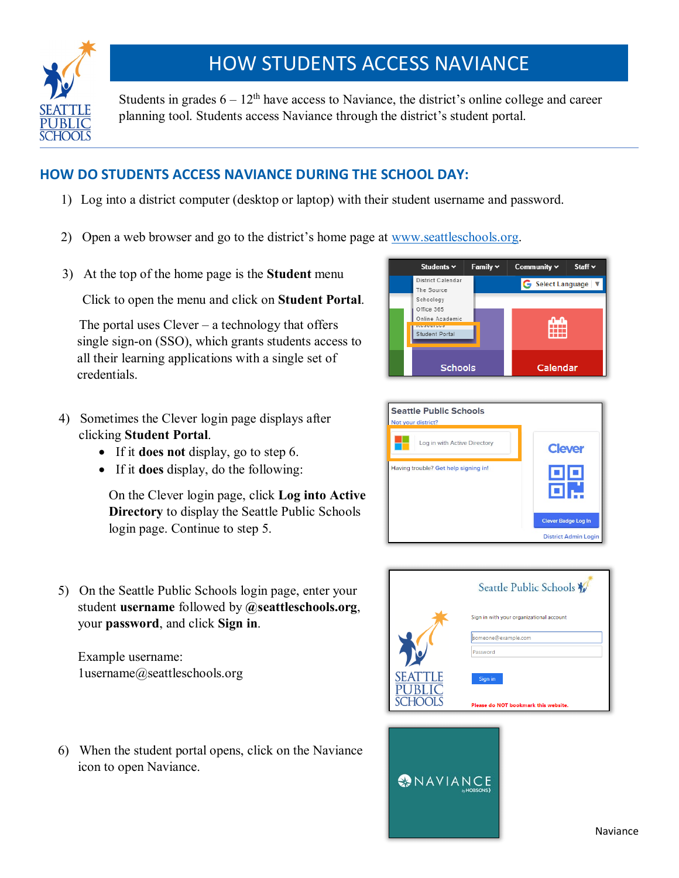

## HOW STUDENTS ACCESS NAVIANCE

Students in grades  $6 - 12$ <sup>th</sup> have access to Naviance, the district's online college and career planning tool. Students access Naviance through the district's student portal.

## **HOW DO STUDENTS ACCESS NAVIANCE DURING THE SCHOOL DAY:**

- 1) Log into a district computer (desktop or laptop) with their student username and password.
- 2) Open a web browser and go to the district's home page at [www.seattleschools.org.](http://www.seattleschools.org/)
- 3) At the top of the home page is the **Student** menu

Click to open the menu and click on **Student Portal**.

The portal uses  $C$  lever  $-$  a technology that offers single sign-on (SSO), which grants students access to all their learning applications with a single set of credentials.

- 4) Sometimes the Clever login page displays after clicking **Student Portal**.
	- If it **does not** display, go to step 6.
	- If it **does** display, do the following:

On the Clever login page, click **Log into Active Directory** to display the Seattle Public Schools login page. Continue to step 5.





5) On the Seattle Public Schools login page, enter your student **username** followed by **@seattleschools.org**, your **password**, and click **Sign in**.

Example username: 1username@seattleschools.org

6) When the student portal opens, click on the Naviance icon to open Naviance.



**MAVIANCE**